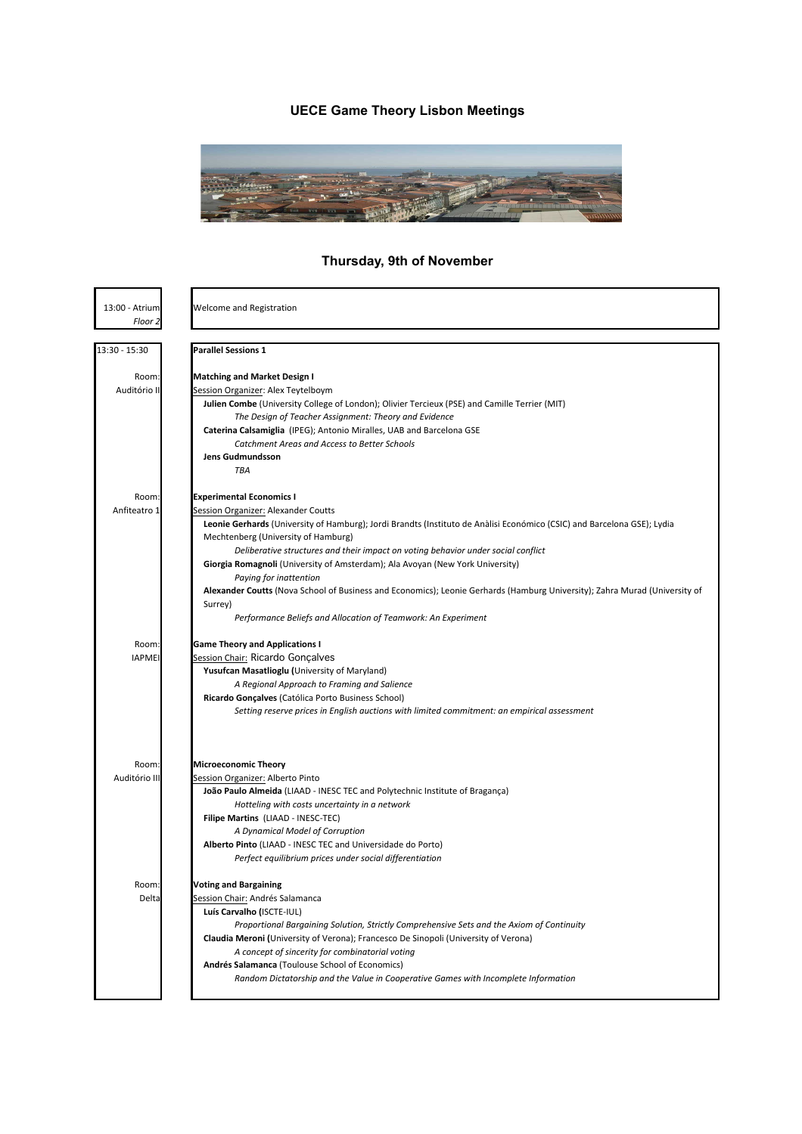# **UECE Game Theory Lisbon Meetings**



# **Thursday, 9th of November**

| 13:00 - Atrium<br>Floor 2 | Welcome and Registration                                                                                                   |
|---------------------------|----------------------------------------------------------------------------------------------------------------------------|
|                           |                                                                                                                            |
| 13:30 - 15:30             | <b>Parallel Sessions 1</b>                                                                                                 |
| Room:                     |                                                                                                                            |
| Auditório II              | <b>Matching and Market Design I</b>                                                                                        |
|                           | Session Organizer: Alex Teytelboym                                                                                         |
|                           | Julien Combe (University College of London); Olivier Tercieux (PSE) and Camille Terrier (MIT)                              |
|                           | The Design of Teacher Assignment: Theory and Evidence                                                                      |
|                           | Caterina Calsamiglia (IPEG); Antonio Miralles, UAB and Barcelona GSE                                                       |
|                           | Catchment Areas and Access to Better Schools                                                                               |
|                           | <b>Jens Gudmundsson</b><br>TBA                                                                                             |
|                           |                                                                                                                            |
| Room                      | Experimental Economics I                                                                                                   |
| Anfiteatro 1              | Session Organizer: Alexander Coutts                                                                                        |
|                           | Leonie Gerhards (University of Hamburg); Jordi Brandts (Instituto de Anàlisi Económico (CSIC) and Barcelona GSE); Lydia    |
|                           | Mechtenberg (University of Hamburg)                                                                                        |
|                           | Deliberative structures and their impact on voting behavior under social conflict                                          |
|                           | Giorgia Romagnoli (University of Amsterdam); Ala Avoyan (New York University)                                              |
|                           | Paying for inattention                                                                                                     |
|                           | Alexander Coutts (Nova School of Business and Economics); Leonie Gerhards (Hamburg University); Zahra Murad (University of |
|                           | Surrey)                                                                                                                    |
|                           | Performance Beliefs and Allocation of Teamwork: An Experiment                                                              |
| Room                      | <b>Game Theory and Applications I</b>                                                                                      |
| <b>IAPMEI</b>             | Session Chair: Ricardo Gonçalves                                                                                           |
|                           | Yusufcan Masatlioglu (University of Maryland)                                                                              |
|                           | A Regional Approach to Framing and Salience                                                                                |
|                           | Ricardo Gonçalves (Católica Porto Business School)                                                                         |
|                           | Setting reserve prices in English auctions with limited commitment: an empirical assessment                                |
|                           |                                                                                                                            |
| Room:                     | <b>Microeconomic Theory</b>                                                                                                |
| Auditório III             | Session Organizer: Alberto Pinto                                                                                           |
|                           | João Paulo Almeida (LIAAD - INESC TEC and Polytechnic Institute of Bragança)                                               |
|                           | Hotteling with costs uncertainty in a network                                                                              |
|                           | Filipe Martins (LIAAD - INESC-TEC)                                                                                         |
|                           | A Dynamical Model of Corruption                                                                                            |
|                           | Alberto Pinto (LIAAD - INESC TEC and Universidade do Porto)                                                                |
|                           | Perfect equilibrium prices under social differentiation                                                                    |
| Room:                     | <b>Voting and Bargaining</b>                                                                                               |
| Delta                     | Session Chair: Andrés Salamanca                                                                                            |
|                           | Luís Carvalho (ISCTE-IUL)                                                                                                  |
|                           | Proportional Bargaining Solution, Strictly Comprehensive Sets and the Axiom of Continuity                                  |
|                           | Claudia Meroni (University of Verona); Francesco De Sinopoli (University of Verona)                                        |
|                           | A concept of sincerity for combinatorial voting                                                                            |
|                           | Andrés Salamanca (Toulouse School of Economics)                                                                            |
|                           | Random Dictatorship and the Value in Cooperative Games with Incomplete Information                                         |
|                           |                                                                                                                            |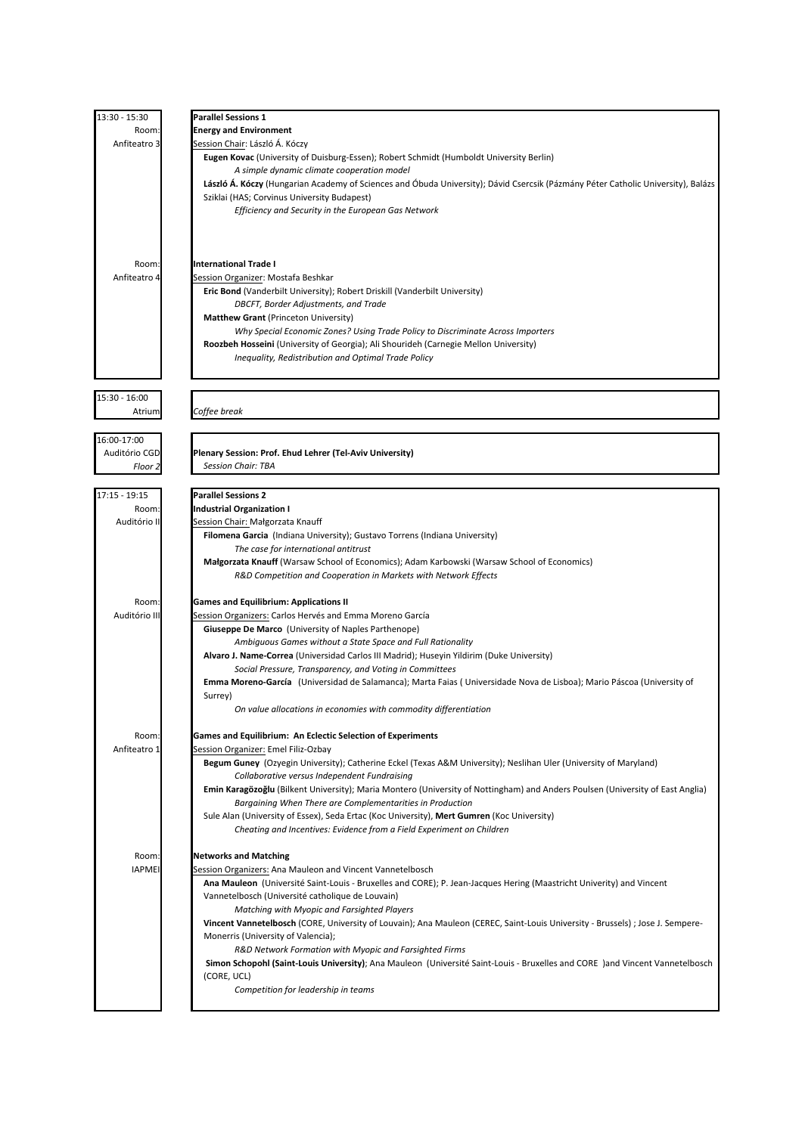| 13:30 - 15:30   | <b>Parallel Sessions 1</b>                                                                                                       |
|-----------------|----------------------------------------------------------------------------------------------------------------------------------|
| Room:           | <b>Energy and Environment</b>                                                                                                    |
| Anfiteatro 3    | Session Chair: László Á. Kóczy                                                                                                   |
|                 | Eugen Kovac (University of Duisburg-Essen); Robert Schmidt (Humboldt University Berlin)                                          |
|                 | A simple dynamic climate cooperation model                                                                                       |
|                 | László A. Kóczy (Hungarian Academy of Sciences and Obuda University); Dávid Csercsik (Pázmány Péter Catholic University), Balázs |
|                 | Sziklai (HAS; Corvinus University Budapest)                                                                                      |
|                 | Efficiency and Security in the European Gas Network                                                                              |
|                 |                                                                                                                                  |
|                 |                                                                                                                                  |
|                 |                                                                                                                                  |
| Room:           | <b>International Trade I</b>                                                                                                     |
|                 |                                                                                                                                  |
| Anfiteatro 4    | Session Organizer: Mostafa Beshkar                                                                                               |
|                 | Eric Bond (Vanderbilt University); Robert Driskill (Vanderbilt University)                                                       |
|                 | DBCFT, Border Adjustments, and Trade                                                                                             |
|                 | Matthew Grant (Princeton University)                                                                                             |
|                 | Why Special Economic Zones? Using Trade Policy to Discriminate Across Importers                                                  |
|                 | Roozbeh Hosseini (University of Georgia); Ali Shourideh (Carnegie Mellon University)                                             |
|                 | Inequality, Redistribution and Optimal Trade Policy                                                                              |
|                 |                                                                                                                                  |
|                 |                                                                                                                                  |
| 15:30 - 16:00   |                                                                                                                                  |
| Atrium          | Coffee break                                                                                                                     |
|                 |                                                                                                                                  |
|                 |                                                                                                                                  |
| 16:00-17:00     |                                                                                                                                  |
| Auditório CGD   | Plenary Session: Prof. Ehud Lehrer (Tel-Aviv University)                                                                         |
| Floor 2         | <b>Session Chair: TBA</b>                                                                                                        |
|                 |                                                                                                                                  |
| $17:15 - 19:15$ | <b>Parallel Sessions 2</b>                                                                                                       |
| Room:           | <b>Industrial Organization I</b>                                                                                                 |
| Auditório II    | Session Chair: Małgorzata Knauff                                                                                                 |
|                 |                                                                                                                                  |
|                 | Filomena Garcia (Indiana University); Gustavo Torrens (Indiana University)                                                       |
|                 | The case for international antitrust                                                                                             |
|                 | Małgorzata Knauff (Warsaw School of Economics); Adam Karbowski (Warsaw School of Economics)                                      |
|                 | R&D Competition and Cooperation in Markets with Network Effects                                                                  |
|                 |                                                                                                                                  |
| Room:           | <b>Games and Equilibrium: Applications II</b>                                                                                    |
| Auditório III   | Session Organizers: Carlos Hervés and Emma Moreno García                                                                         |
|                 | <b>Giuseppe De Marco</b> (University of Naples Parthenope)                                                                       |
|                 | Ambiguous Games without a State Space and Full Rationality                                                                       |
|                 | Alvaro J. Name-Correa (Universidad Carlos III Madrid); Huseyin Yildirim (Duke University)                                        |
|                 |                                                                                                                                  |
|                 | Social Pressure, Transparency, and Voting in Committees                                                                          |
|                 | Emma Moreno-García (Universidad de Salamanca); Marta Faias (Universidade Nova de Lisboa); Mario Páscoa (University of            |
|                 | Surrey)                                                                                                                          |
|                 | On value allocations in economies with commodity differentiation                                                                 |
|                 |                                                                                                                                  |
| Room:           | <b>Games and Equilibrium: An Eclectic Selection of Experiments</b>                                                               |
| Anfiteatro 1    | Session Organizer: Emel Filiz-Ozbay                                                                                              |
|                 | Begum Guney (Ozyegin University); Catherine Eckel (Texas A&M University); Neslihan Uler (University of Maryland)                 |
|                 | Collaborative versus Independent Fundraising                                                                                     |
|                 | Emin Karagözoğlu (Bilkent University); Maria Montero (University of Nottingham) and Anders Poulsen (University of East Anglia)   |
|                 | Bargaining When There are Complementarities in Production                                                                        |
|                 | Sule Alan (University of Essex), Seda Ertac (Koc University), Mert Gumren (Koc University)                                       |
|                 |                                                                                                                                  |
|                 | Cheating and Incentives: Evidence from a Field Experiment on Children                                                            |
|                 |                                                                                                                                  |
| Room:           | <b>Networks and Matching</b>                                                                                                     |
| <b>IAPMEI</b>   | Session Organizers: Ana Mauleon and Vincent Vannetelbosch                                                                        |
|                 | Ana Mauleon (Université Saint-Louis - Bruxelles and CORE); P. Jean-Jacques Hering (Maastricht Univerity) and Vincent             |
|                 | Vannetelbosch (Université catholique de Louvain)                                                                                 |
|                 | Matching with Myopic and Farsighted Players                                                                                      |
|                 | Vincent Vannetelbosch (CORE, University of Louvain); Ana Mauleon (CEREC, Saint-Louis University - Brussels) ; Jose J. Sempere-   |
|                 | Monerris (University of Valencia);                                                                                               |
|                 |                                                                                                                                  |
|                 | R&D Network Formation with Myopic and Farsighted Firms                                                                           |
|                 | Simon Schopohl (Saint-Louis University); Ana Mauleon (Université Saint-Louis - Bruxelles and CORE )and Vincent Vannetelbosch     |
|                 | (CORE, UCL)                                                                                                                      |
|                 | Competition for leadership in teams                                                                                              |
|                 |                                                                                                                                  |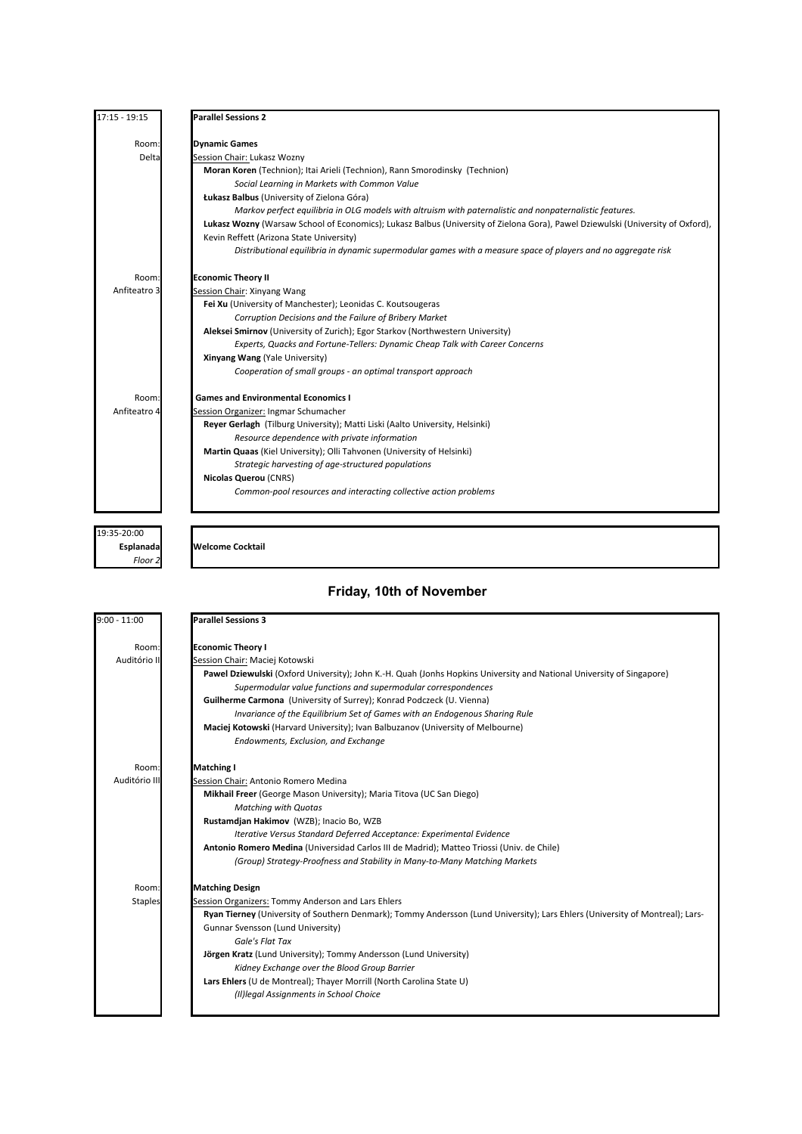| $17:15 - 19:15$ | <b>Parallel Sessions 2</b>                                                                                                      |
|-----------------|---------------------------------------------------------------------------------------------------------------------------------|
| Room:           | <b>Dynamic Games</b>                                                                                                            |
| Delta           | Session Chair: Lukasz Wozny                                                                                                     |
|                 | Moran Koren (Technion); Itai Arieli (Technion), Rann Smorodinsky (Technion)                                                     |
|                 | Social Learning in Markets with Common Value                                                                                    |
|                 | Łukasz Balbus (University of Zielona Góra)                                                                                      |
|                 | Markov perfect equilibria in OLG models with altruism with paternalistic and nonpaternalistic features.                         |
|                 | Lukasz Wozny (Warsaw School of Economics); Lukasz Balbus (University of Zielona Gora), Pawel Dziewulski (University of Oxford), |
|                 | Kevin Reffett (Arizona State University)                                                                                        |
|                 | Distributional equilibria in dynamic supermodular games with a measure space of players and no aggregate risk                   |
| Room:           | <b>Economic Theory II</b>                                                                                                       |
| Anfiteatro 3    | Session Chair: Xinyang Wang                                                                                                     |
|                 | Fei Xu (University of Manchester); Leonidas C. Koutsougeras                                                                     |
|                 | Corruption Decisions and the Failure of Bribery Market                                                                          |
|                 | Aleksei Smirnov (University of Zurich); Egor Starkov (Northwestern University)                                                  |
|                 | Experts, Quacks and Fortune-Tellers: Dynamic Cheap Talk with Career Concerns                                                    |
|                 | <b>Xinyang Wang (Yale University)</b>                                                                                           |
|                 | Cooperation of small groups - an optimal transport approach                                                                     |
| Room:           | <b>Games and Environmental Economics I</b>                                                                                      |
| Anfiteatro 4    | Session Organizer: Ingmar Schumacher                                                                                            |
|                 | Reyer Gerlagh (Tilburg University); Matti Liski (Aalto University, Helsinki)                                                    |
|                 | Resource dependence with private information                                                                                    |
|                 | Martin Quaas (Kiel University); Olli Tahvonen (University of Helsinki)                                                          |
|                 | Strategic harvesting of age-structured populations                                                                              |
|                 | <b>Nicolas Querou (CNRS)</b>                                                                                                    |
|                 | Common-pool resources and interacting collective action problems                                                                |
|                 |                                                                                                                                 |

19:35-20:00 *Floor 2*

#### **Esplanada Welcome Cocktail**

## **Friday, 10th of November**

| $9:00 - 11:00$ | <b>Parallel Sessions 3</b>                                                                                                    |
|----------------|-------------------------------------------------------------------------------------------------------------------------------|
| Room:          | <b>Economic Theory I</b>                                                                                                      |
| Auditório II   | Session Chair: Maciej Kotowski                                                                                                |
|                | Pawel Dziewulski (Oxford University); John K.-H. Quah (Jonhs Hopkins University and National University of Singapore)         |
|                | Supermodular value functions and supermodular correspondences                                                                 |
|                | Guilherme Carmona (University of Surrey); Konrad Podczeck (U. Vienna)                                                         |
|                | Invariance of the Equilibrium Set of Games with an Endogenous Sharing Rule                                                    |
|                | Maciej Kotowski (Harvard University); Ivan Balbuzanov (University of Melbourne)                                               |
|                | Endowments, Exclusion, and Exchange                                                                                           |
|                |                                                                                                                               |
| Room:          | <b>Matching I</b>                                                                                                             |
| Auditório III  | Session Chair: Antonio Romero Medina                                                                                          |
|                | Mikhail Freer (George Mason University); Maria Titova (UC San Diego)                                                          |
|                | <b>Matching with Quotas</b>                                                                                                   |
|                | Rustamdjan Hakimov (WZB); Inacio Bo, WZB                                                                                      |
|                | Iterative Versus Standard Deferred Acceptance: Experimental Evidence                                                          |
|                | Antonio Romero Medina (Universidad Carlos III de Madrid); Matteo Triossi (Univ. de Chile)                                     |
|                | (Group) Strategy-Proofness and Stability in Many-to-Many Matching Markets                                                     |
| Room:          | <b>Matching Design</b>                                                                                                        |
| <b>Staples</b> | Session Organizers: Tommy Anderson and Lars Ehlers                                                                            |
|                | Ryan Tierney (University of Southern Denmark); Tommy Andersson (Lund University); Lars Ehlers (University of Montreal); Lars- |
|                | Gunnar Svensson (Lund University)                                                                                             |
|                | Gale's Flat Tax                                                                                                               |
|                | Jörgen Kratz (Lund University); Tommy Andersson (Lund University)                                                             |
|                | Kidney Exchange over the Blood Group Barrier                                                                                  |
|                | Lars Ehlers (U de Montreal); Thayer Morrill (North Carolina State U)                                                          |
|                | (II)legal Assignments in School Choice                                                                                        |
|                |                                                                                                                               |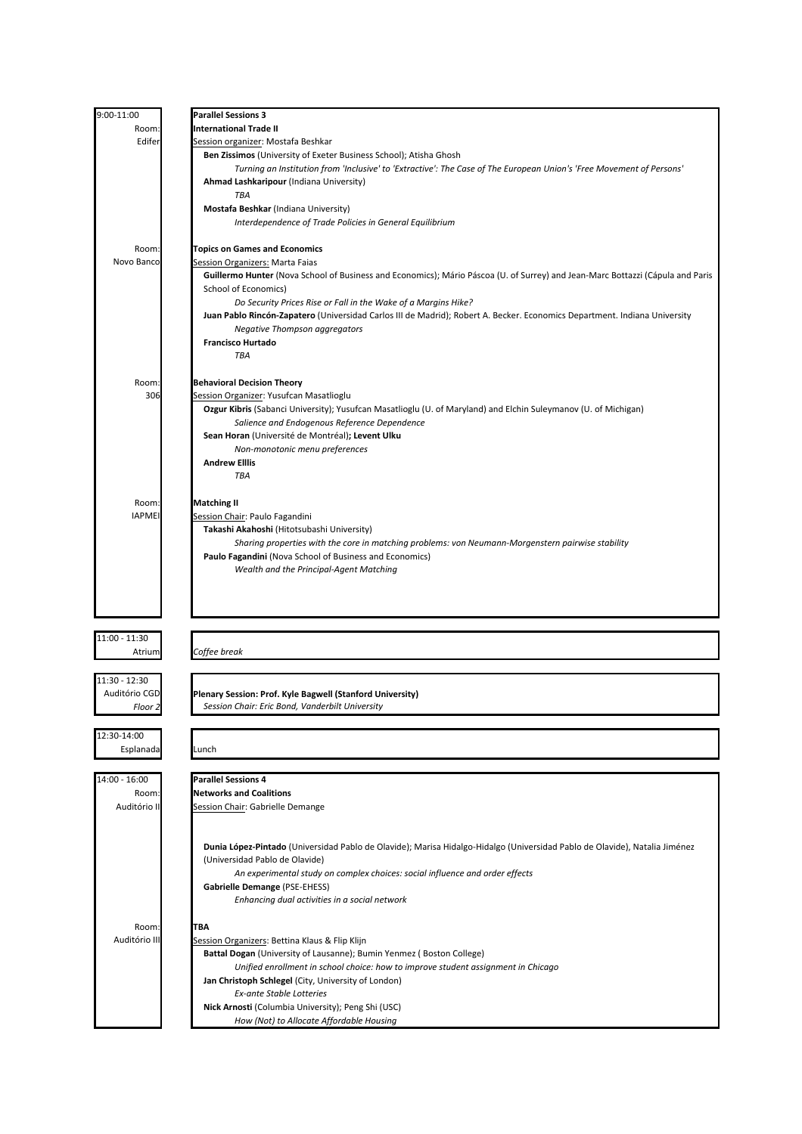| 9:00-11:00    | <b>Parallel Sessions 3</b>                                                                                                                                      |
|---------------|-----------------------------------------------------------------------------------------------------------------------------------------------------------------|
| Room:         | <b>International Trade II</b>                                                                                                                                   |
| Edifer        | Session organizer: Mostafa Beshkar                                                                                                                              |
|               | Ben Zissimos (University of Exeter Business School); Atisha Ghosh                                                                                               |
|               | Turning an Institution from 'Inclusive' to 'Extractive': The Case of The European Union's 'Free Movement of Persons'                                            |
|               | Ahmad Lashkaripour (Indiana University)                                                                                                                         |
|               | <b>TBA</b>                                                                                                                                                      |
|               | Mostafa Beshkar (Indiana University)                                                                                                                            |
|               | Interdependence of Trade Policies in General Equilibrium                                                                                                        |
| Room:         | <b>Topics on Games and Economics</b>                                                                                                                            |
| Novo Banco    | Session Organizers: Marta Faias                                                                                                                                 |
|               | Guillermo Hunter (Nova School of Business and Economics); Mário Páscoa (U. of Surrey) and Jean-Marc Bottazzi (Cápula and Paris                                  |
|               | School of Economics)                                                                                                                                            |
|               | Do Security Prices Rise or Fall in the Wake of a Margins Hike?                                                                                                  |
|               | Juan Pablo Rincón-Zapatero (Universidad Carlos III de Madrid); Robert A. Becker. Economics Department. Indiana University                                       |
|               | Negative Thompson aggregators                                                                                                                                   |
|               | <b>Francisco Hurtado</b>                                                                                                                                        |
|               | TBA                                                                                                                                                             |
|               |                                                                                                                                                                 |
| Room:<br>306  | <b>Behavioral Decision Theory</b>                                                                                                                               |
|               | Session Organizer: Yusufcan Masatlioglu                                                                                                                         |
|               | Ozgur Kibris (Sabanci University); Yusufcan Masatlioglu (U. of Maryland) and Elchin Suleymanov (U. of Michigan)<br>Salience and Endogenous Reference Dependence |
|               | Sean Horan (Université de Montréal); Levent Ulku                                                                                                                |
|               | Non-monotonic menu preferences                                                                                                                                  |
|               | <b>Andrew Elllis</b>                                                                                                                                            |
|               | TBA                                                                                                                                                             |
|               |                                                                                                                                                                 |
| Room:         | <b>Matching II</b>                                                                                                                                              |
| <b>IAPMEI</b> | Session Chair: Paulo Fagandini                                                                                                                                  |
|               | Takashi Akahoshi (Hitotsubashi University)                                                                                                                      |
|               | Sharing properties with the core in matching problems: von Neumann-Morgenstern pairwise stability                                                               |
|               | Paulo Fagandini (Nova School of Business and Economics)                                                                                                         |
|               | Wealth and the Principal-Agent Matching                                                                                                                         |
|               |                                                                                                                                                                 |
|               |                                                                                                                                                                 |
|               |                                                                                                                                                                 |
| 11:00 - 11:30 |                                                                                                                                                                 |
| Atrium        | Coffee break                                                                                                                                                    |
|               |                                                                                                                                                                 |
| 11:30 - 12:30 |                                                                                                                                                                 |
| Auditório CGD | Plenary Session: Prof. Kyle Bagwell (Stanford University)<br>Session Chair: Eric Bond, Vanderbilt University                                                    |
| Floor 2       |                                                                                                                                                                 |
| 12:30-14:00   |                                                                                                                                                                 |
| Esplanada     | Lunch                                                                                                                                                           |
|               |                                                                                                                                                                 |
| 14:00 - 16:00 | <b>Parallel Sessions 4</b>                                                                                                                                      |
| Room:         | <b>Networks and Coalitions</b>                                                                                                                                  |
| Auditório II  | Session Chair: Gabrielle Demange                                                                                                                                |
|               |                                                                                                                                                                 |
|               |                                                                                                                                                                 |
|               | Dunia López-Pintado (Universidad Pablo de Olavide); Marisa Hidalgo-Hidalgo (Universidad Pablo de Olavide), Natalia Jiménez                                      |
|               | (Universidad Pablo de Olavide)                                                                                                                                  |
|               | An experimental study on complex choices: social influence and order effects                                                                                    |
|               | Gabrielle Demange (PSE-EHESS)                                                                                                                                   |
|               | Enhancing dual activities in a social network                                                                                                                   |
| Room:         | <b>TBA</b>                                                                                                                                                      |
| Auditório III | Session Organizers: Bettina Klaus & Flip Klijn                                                                                                                  |
|               | Battal Dogan (University of Lausanne); Bumin Yenmez (Boston College)                                                                                            |
|               | Unified enrollment in school choice: how to improve student assignment in Chicago                                                                               |
|               | Jan Christoph Schlegel (City, University of London)                                                                                                             |
|               | <b>Ex-ante Stable Lotteries</b>                                                                                                                                 |
|               | Nick Arnosti (Columbia University); Peng Shi (USC)                                                                                                              |
|               | How (Not) to Allocate Affordable Housing                                                                                                                        |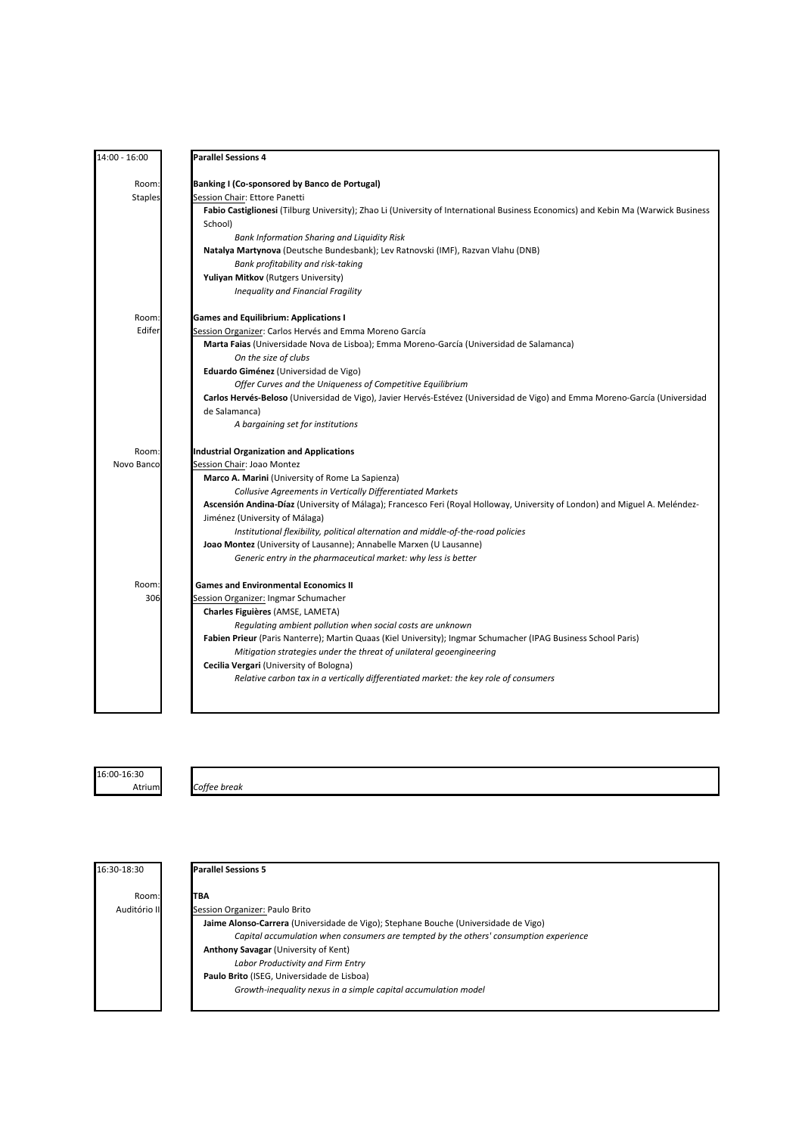| 14:00 - 16:00  | <b>Parallel Sessions 4</b>                                                                                                        |
|----------------|-----------------------------------------------------------------------------------------------------------------------------------|
| Room:          | Banking I (Co-sponsored by Banco de Portugal)                                                                                     |
| <b>Staples</b> | Session Chair: Ettore Panetti                                                                                                     |
|                | Fabio Castiglionesi (Tilburg University); Zhao Li (University of International Business Economics) and Kebin Ma (Warwick Business |
|                | School)                                                                                                                           |
|                | <b>Bank Information Sharing and Liquidity Risk</b>                                                                                |
|                | Natalya Martynova (Deutsche Bundesbank); Lev Ratnovski (IMF), Razvan Vlahu (DNB)                                                  |
|                | Bank profitability and risk-taking                                                                                                |
|                | <b>Yuliyan Mitkov (Rutgers University)</b>                                                                                        |
|                | Inequality and Financial Fragility                                                                                                |
| Room:          | <b>Games and Equilibrium: Applications I</b>                                                                                      |
| Edifer         | Session Organizer: Carlos Hervés and Emma Moreno García                                                                           |
|                | Marta Faias (Universidade Nova de Lisboa); Emma Moreno-García (Universidad de Salamanca)                                          |
|                | On the size of clubs                                                                                                              |
|                | Eduardo Giménez (Universidad de Vigo)                                                                                             |
|                | Offer Curves and the Uniqueness of Competitive Equilibrium                                                                        |
|                | Carlos Hervés-Beloso (Universidad de Vigo), Javier Hervés-Estévez (Universidad de Vigo) and Emma Moreno-García (Universidad       |
|                | de Salamanca)                                                                                                                     |
|                | A bargaining set for institutions                                                                                                 |
| Room:          | <b>Industrial Organization and Applications</b>                                                                                   |
| Novo Banco     | Session Chair: Joao Montez                                                                                                        |
|                | Marco A. Marini (University of Rome La Sapienza)                                                                                  |
|                | Collusive Agreements in Vertically Differentiated Markets                                                                         |
|                | Ascensión Andina-Díaz (University of Málaga); Francesco Feri (Royal Holloway, University of London) and Miguel A. Meléndez-       |
|                | Jiménez (University of Málaga)                                                                                                    |
|                | Institutional flexibility, political alternation and middle-of-the-road policies                                                  |
|                | Joao Montez (University of Lausanne); Annabelle Marxen (U Lausanne)                                                               |
|                | Generic entry in the pharmaceutical market: why less is better                                                                    |
| Room:          | <b>Games and Environmental Economics II</b>                                                                                       |
| 306            | Session Organizer: Ingmar Schumacher                                                                                              |
|                | Charles Figuières (AMSE, LAMETA)                                                                                                  |
|                | Regulating ambient pollution when social costs are unknown                                                                        |
|                | Fabien Prieur (Paris Nanterre); Martin Quaas (Kiel University); Ingmar Schumacher (IPAG Business School Paris)                    |
|                | Mitigation strategies under the threat of unilateral geoengineering                                                               |
|                | Cecilia Vergari (University of Bologna)                                                                                           |
|                | Relative carbon tax in a vertically differentiated market: the key role of consumers                                              |
|                |                                                                                                                                   |

16:00-16:30

Atrium *Coffee break*

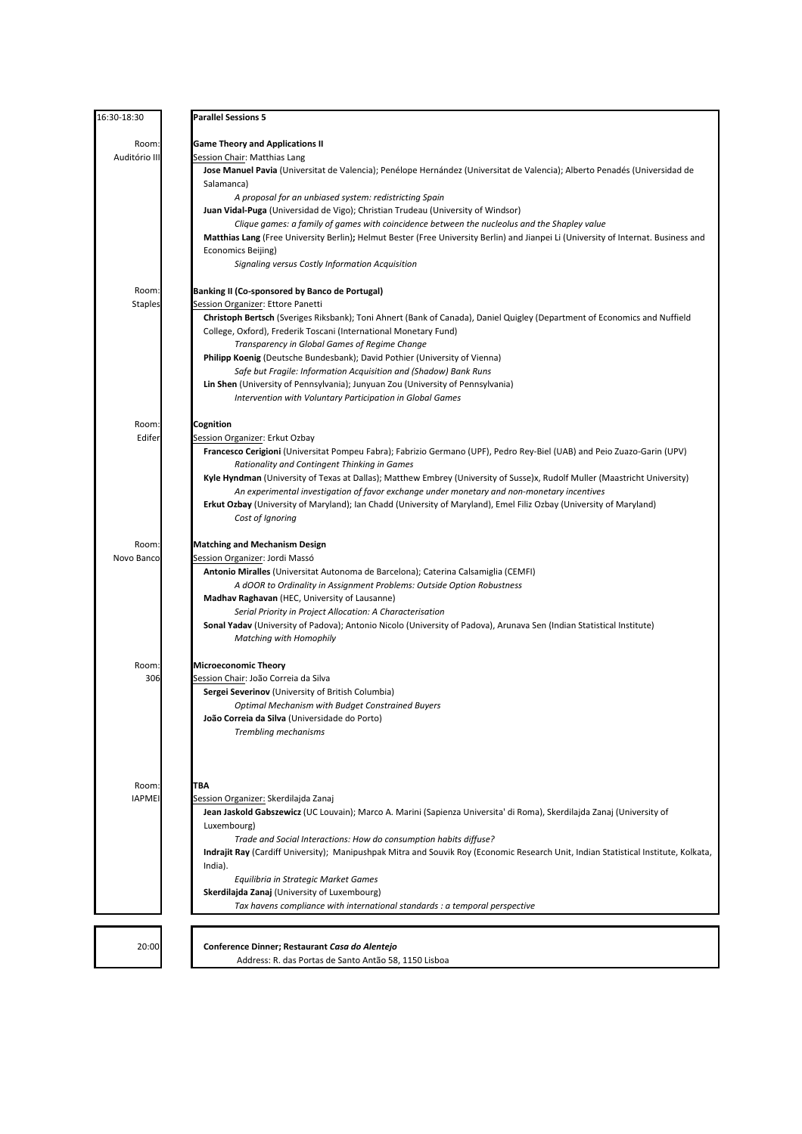| 16:30-18:30    | <b>Parallel Sessions 5</b>                                                                                                          |
|----------------|-------------------------------------------------------------------------------------------------------------------------------------|
| Room:          | <b>Game Theory and Applications II</b>                                                                                              |
| Auditório III  | Session Chair: Matthias Lang                                                                                                        |
|                | Jose Manuel Pavia (Universitat de Valencia); Penélope Hernández (Universitat de Valencia); Alberto Penadés (Universidad de          |
|                | Salamanca)                                                                                                                          |
|                | A proposal for an unbiased system: redistricting Spain                                                                              |
|                | Juan Vidal-Puga (Universidad de Vigo); Christian Trudeau (University of Windsor)                                                    |
|                | Clique games: a family of games with coincidence between the nucleolus and the Shapley value                                        |
|                | Matthias Lang (Free University Berlin); Helmut Bester (Free University Berlin) and Jianpei Li (University of Internat. Business and |
|                | Economics Beijing)                                                                                                                  |
|                | Signaling versus Costly Information Acquisition                                                                                     |
| Room:          | Banking II (Co-sponsored by Banco de Portugal)                                                                                      |
| <b>Staples</b> | Session Organizer: Ettore Panetti                                                                                                   |
|                | Christoph Bertsch (Sveriges Riksbank); Toni Ahnert (Bank of Canada), Daniel Quigley (Department of Economics and Nuffield           |
|                | College, Oxford), Frederik Toscani (International Monetary Fund)                                                                    |
|                | Transparency in Global Games of Regime Change                                                                                       |
|                | Philipp Koenig (Deutsche Bundesbank); David Pothier (University of Vienna)                                                          |
|                | Safe but Fragile: Information Acquisition and (Shadow) Bank Runs                                                                    |
|                | Lin Shen (University of Pennsylvania); Junyuan Zou (University of Pennsylvania)                                                     |
|                | Intervention with Voluntary Participation in Global Games                                                                           |
| Room:          | Cognition                                                                                                                           |
| Edifer         | Session Organizer: Erkut Ozbay                                                                                                      |
|                | Francesco Cerigioni (Universitat Pompeu Fabra); Fabrizio Germano (UPF), Pedro Rey-Biel (UAB) and Peio Zuazo-Garin (UPV)             |
|                | Rationality and Contingent Thinking in Games                                                                                        |
|                | Kyle Hyndman (University of Texas at Dallas); Matthew Embrey (University of Susse)x, Rudolf Muller (Maastricht University)          |
|                | An experimental investigation of favor exchange under monetary and non-monetary incentives                                          |
|                | Erkut Ozbay (University of Maryland); Ian Chadd (University of Maryland), Emel Filiz Ozbay (University of Maryland)                 |
|                | Cost of Ignoring                                                                                                                    |
|                |                                                                                                                                     |
| Room:          | <b>Matching and Mechanism Design</b>                                                                                                |
| Novo Banco     | Session Organizer: Jordi Massó                                                                                                      |
|                | Antonio Miralles (Universitat Autonoma de Barcelona); Caterina Calsamiglia (CEMFI)                                                  |
|                | A dOOR to Ordinality in Assignment Problems: Outside Option Robustness                                                              |
|                | Madhav Raghavan (HEC, University of Lausanne)                                                                                       |
|                | Serial Priority in Project Allocation: A Characterisation                                                                           |
|                | Sonal Yadav (University of Padova); Antonio Nicolo (University of Padova), Arunava Sen (Indian Statistical Institute)               |
|                | Matching with Homophily                                                                                                             |
| Room:          | <b>Microeconomic Theory</b>                                                                                                         |
| 306            | Session Chair: João Correia da Silva                                                                                                |
|                | <b>Sergei Severinov</b> (University of British Columbia)                                                                            |
|                | <b>Optimal Mechanism with Budget Constrained Buyers</b>                                                                             |
|                | João Correia da Silva (Universidade do Porto)                                                                                       |
|                | Trembling mechanisms                                                                                                                |
|                |                                                                                                                                     |
|                |                                                                                                                                     |
| Room:          | ТВА                                                                                                                                 |
| <b>IAPMEI</b>  | Session Organizer: Skerdilajda Zanaj                                                                                                |
|                | Jean Jaskold Gabszewicz (UC Louvain); Marco A. Marini (Sapienza Universita' di Roma), Skerdilajda Zanaj (University of              |
|                | Luxembourg)                                                                                                                         |
|                | Trade and Social Interactions: How do consumption habits diffuse?                                                                   |
|                | Indrajit Ray (Cardiff University); Manipushpak Mitra and Souvik Roy (Economic Research Unit, Indian Statistical Institute, Kolkata, |
|                | India).                                                                                                                             |
|                | Equilibria in Strategic Market Games                                                                                                |
|                | Skerdilajda Zanaj (University of Luxembourg)                                                                                        |
|                | Tax havens compliance with international standards : a temporal perspective                                                         |
|                |                                                                                                                                     |
| 20:00          | Conference Dinner; Restaurant Casa do Alentejo                                                                                      |
|                | Address: R. das Portas de Santo Antão 58, 1150 Lisboa                                                                               |
|                |                                                                                                                                     |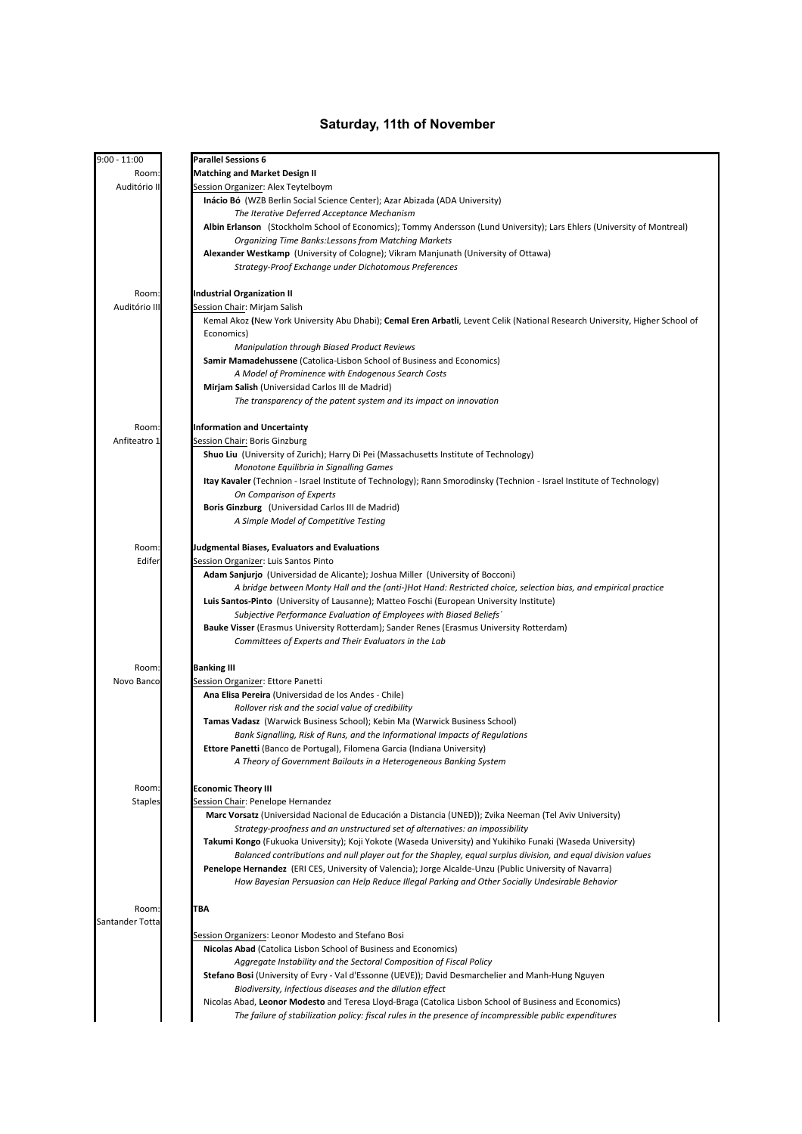### **Saturday, 11th of November**

| $9:00 - 11:00$  | <b>Parallel Sessions 6</b>                                                                                                   |
|-----------------|------------------------------------------------------------------------------------------------------------------------------|
| Room:           | <b>Matching and Market Design II</b>                                                                                         |
| Auditório II    | Session Organizer: Alex Teytelboym                                                                                           |
|                 | Inácio Bó (WZB Berlin Social Science Center); Azar Abizada (ADA University)                                                  |
|                 | The Iterative Deferred Acceptance Mechanism                                                                                  |
|                 | Albin Erlanson (Stockholm School of Economics); Tommy Andersson (Lund University); Lars Ehlers (University of Montreal)      |
|                 | Organizing Time Banks: Lessons from Matching Markets                                                                         |
|                 | Alexander Westkamp (University of Cologne); Vikram Manjunath (University of Ottawa)                                          |
|                 | Strategy-Proof Exchange under Dichotomous Preferences                                                                        |
| Room:           | <b>Industrial Organization II</b>                                                                                            |
| Auditório II    | Session Chair: Mirjam Salish                                                                                                 |
|                 | Kemal Akoz (New York University Abu Dhabi); Cemal Eren Arbatli, Levent Celik (National Research University, Higher School of |
|                 | Economics)                                                                                                                   |
|                 | <b>Manipulation through Biased Product Reviews</b>                                                                           |
|                 | Samir Mamadehussene (Catolica-Lisbon School of Business and Economics)                                                       |
|                 | A Model of Prominence with Endogenous Search Costs                                                                           |
|                 | Mirjam Salish (Universidad Carlos III de Madrid)                                                                             |
|                 | The transparency of the patent system and its impact on innovation                                                           |
| Room:           | <b>Information and Uncertainty</b>                                                                                           |
| Anfiteatro 1    | <u>Session Chair:</u> Boris Ginzburg                                                                                         |
|                 | Shuo Liu (University of Zurich); Harry Di Pei (Massachusetts Institute of Technology)                                        |
|                 | Monotone Equilibria in Signalling Games                                                                                      |
|                 | Itay Kavaler (Technion - Israel Institute of Technology); Rann Smorodinsky (Technion - Israel Institute of Technology)       |
|                 | On Comparison of Experts                                                                                                     |
|                 | Boris Ginzburg (Universidad Carlos III de Madrid)                                                                            |
|                 | A Simple Model of Competitive Testing                                                                                        |
| Room:           | Judgmental Biases, Evaluators and Evaluations                                                                                |
| Edifer          | Session Organizer: Luis Santos Pinto                                                                                         |
|                 | <b>Adam Sanjurjo</b> (Universidad de Alicante); Joshua Miller (University of Bocconi)                                        |
|                 | A bridge between Monty Hall and the (anti-)Hot Hand: Restricted choice, selection bias, and empirical practice               |
|                 | Luis Santos-Pinto (University of Lausanne); Matteo Foschi (European University Institute)                                    |
|                 | Subjective Performance Evaluation of Employees with Biased Beliefs'                                                          |
|                 | Bauke Visser (Erasmus University Rotterdam); Sander Renes (Erasmus University Rotterdam)                                     |
|                 | Committees of Experts and Their Evaluators in the Lab                                                                        |
| Room:           | <b>Banking III</b>                                                                                                           |
| Novo Banco      | Session Organizer: Ettore Panetti                                                                                            |
|                 | Ana Elisa Pereira (Universidad de los Andes - Chile)                                                                         |
|                 | Rollover risk and the social value of credibility                                                                            |
|                 | <b>Tamas Vadasz</b> (Warwick Business School); Kebin Ma (Warwick Business School)                                            |
|                 | Bank Signalling, Risk of Runs, and the Informational Impacts of Regulations                                                  |
|                 | Ettore Panetti (Banco de Portugal), Filomena Garcia (Indiana University)                                                     |
|                 | A Theory of Government Bailouts in a Heterogeneous Banking System                                                            |
| Room:           | <b>Economic Theory III</b>                                                                                                   |
| <b>Staples</b>  | Session Chair: Penelope Hernandez                                                                                            |
|                 | Marc Vorsatz (Universidad Nacional de Educación a Distancia (UNED)); Zvika Neeman (Tel Aviv University)                      |
|                 | Strategy-proofness and an unstructured set of alternatives: an impossibility                                                 |
|                 | Takumi Kongo (Fukuoka University); Koji Yokote (Waseda University) and Yukihiko Funaki (Waseda University)                   |
|                 | Balanced contributions and null player out for the Shapley, equal surplus division, and equal division values                |
|                 | Penelope Hernandez (ERI CES, University of Valencia); Jorge Alcalde-Unzu (Public University of Navarra)                      |
|                 | How Bayesian Persuasion can Help Reduce Illegal Parking and Other Socially Undesirable Behavior                              |
| Room:           | TBA                                                                                                                          |
| Santander Totta |                                                                                                                              |
|                 | Session Organizers: Leonor Modesto and Stefano Bosi                                                                          |
|                 | Nicolas Abad (Catolica Lisbon School of Business and Economics)                                                              |
|                 | Aggregate Instability and the Sectoral Composition of Fiscal Policy                                                          |
|                 | Stefano Bosi (University of Evry - Val d'Essonne (UEVE)); David Desmarchelier and Manh-Hung Nguyen                           |
|                 | Biodiversity, infectious diseases and the dilution effect                                                                    |
|                 | Nicolas Abad, Leonor Modesto and Teresa Lloyd-Braga (Catolica Lisbon School of Business and Economics)                       |
|                 | The failure of stabilization policy: fiscal rules in the presence of incompressible public expenditures                      |